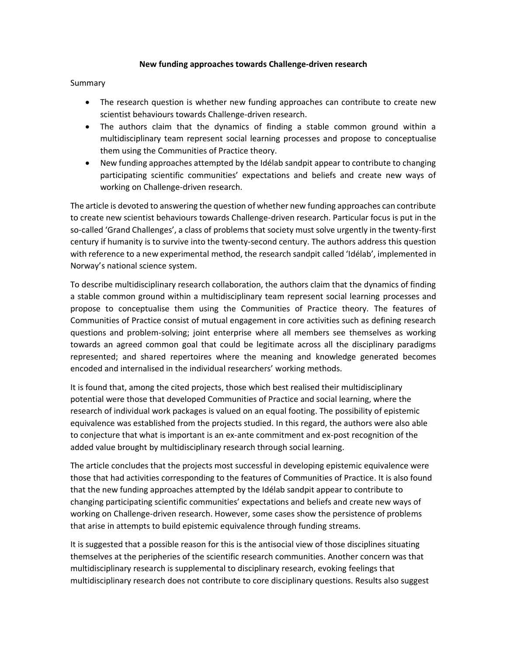## **New funding approaches towards Challenge-driven research**

Summary

- The research question is whether new funding approaches can contribute to create new scientist behaviours towards Challenge-driven research.
- The authors claim that the dynamics of finding a stable common ground within a multidisciplinary team represent social learning processes and propose to conceptualise them using the Communities of Practice theory.
- New funding approaches attempted by the Idélab sandpit appear to contribute to changing participating scientific communities' expectations and beliefs and create new ways of working on Challenge-driven research.

The article is devoted to answering the question of whether new funding approaches can contribute to create new scientist behaviours towards Challenge-driven research. Particular focus is put in the so-called 'Grand Challenges', a class of problems that society must solve urgently in the twenty-first century if humanity is to survive into the twenty-second century. The authors address this question with reference to a new experimental method, the research sandpit called 'Idélab', implemented in Norway's national science system.

To describe multidisciplinary research collaboration, the authors claim that the dynamics of finding a stable common ground within a multidisciplinary team represent social learning processes and propose to conceptualise them using the Communities of Practice theory. The features of Communities of Practice consist of mutual engagement in core activities such as defining research questions and problem-solving; joint enterprise where all members see themselves as working towards an agreed common goal that could be legitimate across all the disciplinary paradigms represented; and shared repertoires where the meaning and knowledge generated becomes encoded and internalised in the individual researchers' working methods.

It is found that, among the cited projects, those which best realised their multidisciplinary potential were those that developed Communities of Practice and social learning, where the research of individual work packages is valued on an equal footing. The possibility of epistemic equivalence was established from the projects studied. In this regard, the authors were also able to conjecture that what is important is an ex-ante commitment and ex-post recognition of the added value brought by multidisciplinary research through social learning.

The article concludes that the projects most successful in developing epistemic equivalence were those that had activities corresponding to the features of Communities of Practice. It is also found that the new funding approaches attempted by the Idélab sandpit appear to contribute to changing participating scientific communities' expectations and beliefs and create new ways of working on Challenge-driven research. However, some cases show the persistence of problems that arise in attempts to build epistemic equivalence through funding streams.

It is suggested that a possible reason for this is the antisocial view of those disciplines situating themselves at the peripheries of the scientific research communities. Another concern was that multidisciplinary research is supplemental to disciplinary research, evoking feelings that multidisciplinary research does not contribute to core disciplinary questions. Results also suggest